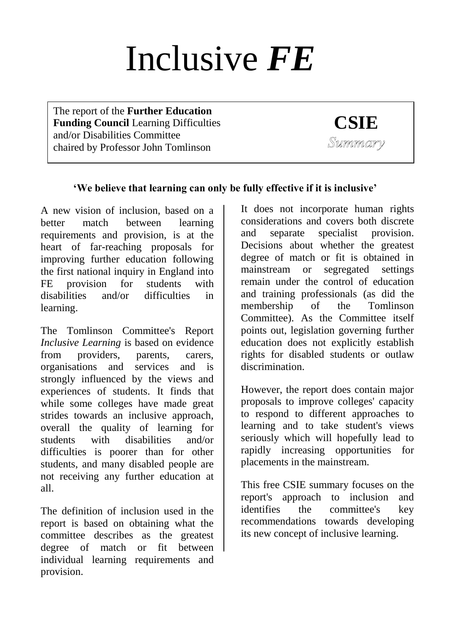# Inclusive *FE*

The report of the **Further Education Funding Council** Learning Difficulties and/or Disabilities Committee chaired by Professor John Tomlinson

**CSIE** Summary

# **'We believe that learning can only be fully effective if it is inclusive'**

A new vision of inclusion, based on a better match between learning requirements and provision, is at the heart of far-reaching proposals for improving further education following the first national inquiry in England into FE provision for students with disabilities and/or difficulties in learning.

The Tomlinson Committee's Report *Inclusive Learning* is based on evidence from providers, parents, carers, organisations and services and is strongly influenced by the views and experiences of students. It finds that while some colleges have made great strides towards an inclusive approach, overall the quality of learning for students with disabilities and/or difficulties is poorer than for other students, and many disabled people are not receiving any further education at all.

The definition of inclusion used in the report is based on obtaining what the committee describes as the greatest degree of match or fit between individual learning requirements and provision.

It does not incorporate human rights considerations and covers both discrete and separate specialist provision. Decisions about whether the greatest degree of match or fit is obtained in mainstream or segregated settings remain under the control of education and training professionals (as did the membership of the Tomlinson Committee). As the Committee itself points out, legislation governing further education does not explicitly establish rights for disabled students or outlaw discrimination.

However, the report does contain major proposals to improve colleges' capacity to respond to different approaches to learning and to take student's views seriously which will hopefully lead to rapidly increasing opportunities for placements in the mainstream.

This free CSIE summary focuses on the report's approach to inclusion and identifies the committee's key recommendations towards developing its new concept of inclusive learning.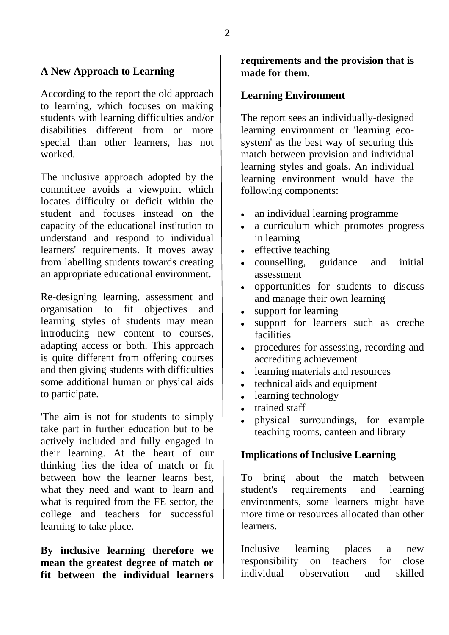#### **A New Approach to Learning**

According to the report the old approach to learning, which focuses on making students with learning difficulties and/or disabilities different from or more special than other learners, has not worked.

The inclusive approach adopted by the committee avoids a viewpoint which locates difficulty or deficit within the student and focuses instead on the capacity of the educational institution to understand and respond to individual learners' requirements. It moves away from labelling students towards creating an appropriate educational environment.

Re-designing learning, assessment and organisation to fit objectives and learning styles of students may mean introducing new content to courses, adapting access or both. This approach is quite different from offering courses and then giving students with difficulties some additional human or physical aids to participate.

'The aim is not for students to simply take part in further education but to be actively included and fully engaged in their learning. At the heart of our thinking lies the idea of match or fit between how the learner learns best, what they need and want to learn and what is required from the FE sector, the college and teachers for successful learning to take place.

**By inclusive learning therefore we mean the greatest degree of match or fit between the individual learners** 

#### **requirements and the provision that is made for them.**

#### **Learning Environment**

The report sees an individually-designed learning environment or 'learning ecosystem' as the best way of securing this match between provision and individual learning styles and goals. An individual learning environment would have the following components:

- an individual learning programme
- a curriculum which promotes progress in learning
- effective teaching
- counselling, guidance and initial assessment
- opportunities for students to discuss and manage their own learning
- support for learning
- support for learners such as creche facilities
- procedures for assessing, recording and accrediting achievement
- learning materials and resources
- technical aids and equipment  $\bullet$
- learning technology
- trained staff
- physical surroundings, for example teaching rooms, canteen and library

#### **Implications of Inclusive Learning**

To bring about the match between student's requirements and learning environments, some learners might have more time or resources allocated than other learners.

Inclusive learning places a new responsibility on teachers for close individual observation and skilled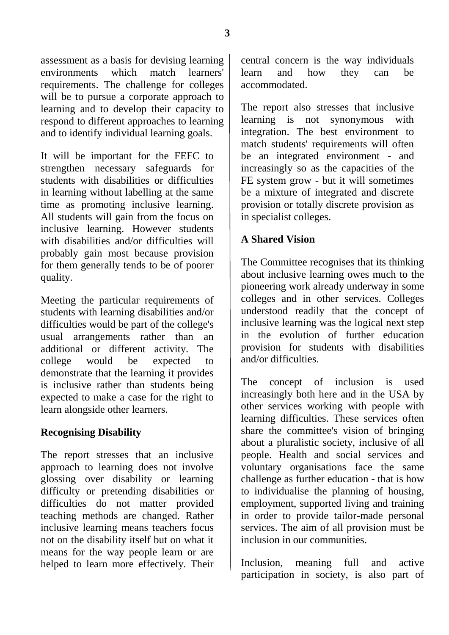assessment as a basis for devising learning environments which match learners' requirements. The challenge for colleges will be to pursue a corporate approach to learning and to develop their capacity to respond to different approaches to learning and to identify individual learning goals.

It will be important for the FEFC to strengthen necessary safeguards for students with disabilities or difficulties in learning without labelling at the same time as promoting inclusive learning. All students will gain from the focus on inclusive learning. However students with disabilities and/or difficulties will probably gain most because provision for them generally tends to be of poorer quality.

Meeting the particular requirements of students with learning disabilities and/or difficulties would be part of the college's usual arrangements rather than an additional or different activity. The college would be expected to demonstrate that the learning it provides is inclusive rather than students being expected to make a case for the right to learn alongside other learners.

## **Recognising Disability**

The report stresses that an inclusive approach to learning does not involve glossing over disability or learning difficulty or pretending disabilities or difficulties do not matter provided teaching methods are changed. Rather inclusive learning means teachers focus not on the disability itself but on what it means for the way people learn or are helped to learn more effectively. Their central concern is the way individuals learn and how they can be accommodated.

The report also stresses that inclusive learning is not synonymous with integration. The best environment to match students' requirements will often be an integrated environment - and increasingly so as the capacities of the FE system grow - but it will sometimes be a mixture of integrated and discrete provision or totally discrete provision as in specialist colleges.

## **A Shared Vision**

The Committee recognises that its thinking about inclusive learning owes much to the pioneering work already underway in some colleges and in other services. Colleges understood readily that the concept of inclusive learning was the logical next step in the evolution of further education provision for students with disabilities and/or difficulties.

The concept of inclusion is used increasingly both here and in the USA by other services working with people with learning difficulties. These services often share the committee's vision of bringing about a pluralistic society, inclusive of all people. Health and social services and voluntary organisations face the same challenge as further education - that is how to individualise the planning of housing, employment, supported living and training in order to provide tailor-made personal services. The aim of all provision must be inclusion in our communities.

Inclusion, meaning full and active participation in society, is also part of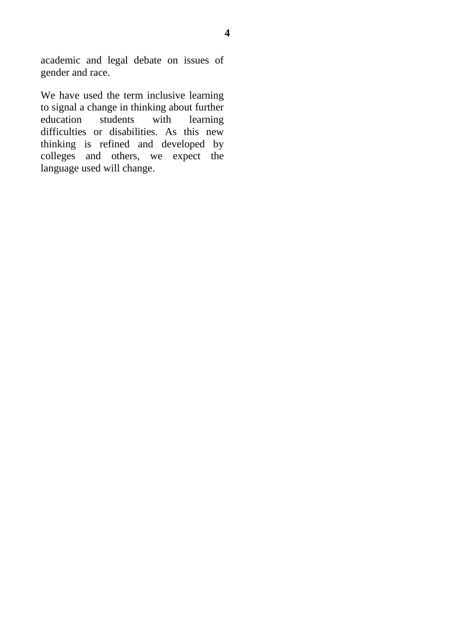academic and legal debate on issues of gender and race.

We have used the term inclusive learning to signal a change in thinking about further education students with learning difficulties or disabilities. As this new thinking is refined and developed by colleges and others, we expect the language used will change.